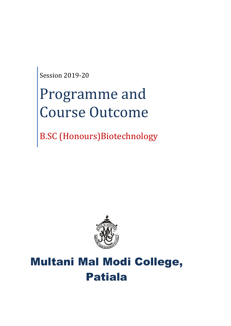Session 2019-20

# Programme and Course Outcome

B.SC (Honours)Biotechnology



# Multani Mal Modi College, Patiala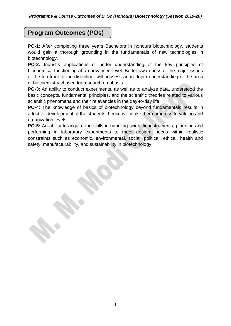# **Program Outcomes (POs)**

**PO-1**: After completing three years Bachelors in honours biotechnology, students would gain a thorough grounding in the fundamentals of new technologies in biotechnology.

**PO-2:** Industry applications of better understanding of the key principles of biochemical functioning at an advanced level. Better awareness of the major issues at the forefront of the discipline, will possess an in-depth understanding of the area of biochemistry chosen for research emphasis.

**PO-3**: An ability to conduct experiments, as well as to analyze data, understood the basic concepts, fundamental principles, and the scientific theories related to various scientific phenomena and their relevancies in the day-to-day life.

**PO-4**: The knowledge of basics of biotechnology beyond fundamentals results in affective development of the students, hence will make them progress to valuing and organization levels.

**PO-5:** An ability to acquire the skills in handling scientific instruments, planning and performing in laboratory experiments to meet desired needs within realistic constraints such as economic, environmental, social, political, ethical, health and safety, manufacturability, and sustainability in biotechnology.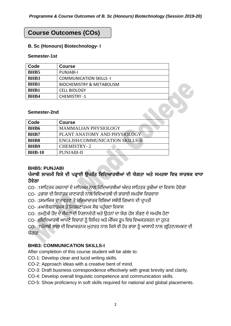# **Course Outcomes (COs)**

#### **B. Sc (Honours) Biotechnology- I**

#### **Semester-1st**

| Code        | <b>Course</b>                        |  |
|-------------|--------------------------------------|--|
| <b>BHB5</b> | PUNJABI-I                            |  |
| <b>BHB3</b> | <b>COMMUNICATION SKILLS -I</b>       |  |
| <b>BHB1</b> | <b>BIOCHEMISTRY &amp; METABOLISM</b> |  |
| <b>BHB1</b> | <b>CELL BIOLOGY</b>                  |  |
| <b>BHB4</b> | <b>CHEMISTRY -1</b>                  |  |

#### **Semester-2nd**

| Code          | <b>Course</b>                   |
|---------------|---------------------------------|
| <b>BHB6</b>   | <b>MAMMALIAN PHYSIOLOGY</b>     |
| BHB7          | PLANT ANATOMY AND PHYSIOLOGY    |
| BHB8          | ENGLISH/COMMUNICATION SKILLS-II |
| <b>BHB9</b>   | <b>CHEMISTRY-2</b>              |
| <b>BHB-10</b> | <b>PUNJABI-II</b>               |

#### **BHB5: PUNJABI**

## **ਪੰਜਾਬੀ ਲਾਜ਼ਮੀ ਵਿਸ਼ੇਦੀ ਪੜ੍ਹਾਈ ਉਪਰੰਤ ਵਿਵਦਆਰਥੀਆਂ ਦੀ ਯੋਗਤਾ ਅਤੇਸਮਰਥਾ ਵਿਚ ਸਾਰਥਕ ਿਾਧਾ ਹੋਿੇਗਾ**

CO- :1ਸਾਹਿਤਕ ਰਚਨਾਵਾਂ ਦੇ ਮਾਧਿਅਮ ਨਾਲ ਵਿਦਿਆਰਥੀਆਂ ਅੰਦਰ ਸਾਹਿਤਕ ਰਚੀਆਂ ਦਾ ਵਿਕਾਸ ਹੋਵੇਗਾ

CO- :2ਭਾਸ਼ਾ ਦੀ ਸਿਧਾਂਤਕ ਜਾਣਕਾਰੀ ਨਾਲ ਵਿਦਿਆਰਥੀ ਦੀ ਭਾਸ਼ਾਈ ਸਮਰੱਥਾ ਵਿਚਵਾਧਾ

CO- :3ਸਮਾਜਿਕ ਵਾਤਾਵਰਣ ਤੇ ਸਭਿਆਚਾਰਕ ਵਿਸ਼ਿਆਂ ਸਬੰਧੀ ਗਿਆਨ ਦੀ ਪ੍ਰਾਪਤੀ

CO- :4ਆਲੋਚਨਾਤਮਕ ਤੇ ਸਿਰਜਣਾਤਮਕ ਸੋਚ ਪਹੰਚਦਾ ਵਿਕਾਸ

CO- :5ਮਨੱਖੀ ਹੋਂਦ ਦੇ ਸੰਕਟਾਂ ਦੀ ਨਿਸ਼ਾਨਦੇਹੀ ਅਤੇ ਉਹਨਾਂ ਦਾ ਯੋਗ ਹੱਲ ਲੱਭਣ ਦੇ ਸਮਰੱਥ ਹੋਣਾ

CO- :6ਵਿਦਿਆਰਥੀ ਆਪਣੇ ਵਿਚਾਰਾਂ ਨੂੰ ਲਿਖਿਤ ਅਤੇ ਮੌਖਿਕ ਰੂਪ ਵਿਚ ਵਿਅਕਤਕਰਨ ਦਾ ਹਨਰ

CO- :7ਪ੍ੰਜਾਬੀ ਭਾਸ਼ਾ ਦੀ ਹਵਆਕਰਨਕ ਮੁਿਾਰਤ ਨਾਲ ਹਕਸੇਵੀ ਿੋਰ ਭਾਸ਼ਾ ਨ ੰ ਆਸਾਨੀ ਨਾਲ ਗਰਹਿਣ/ਸਮਝਣ ਦੀ ਯੋਗਤਾ

#### **BHB3: COMMUNICATION SKILLS-I**

After completion of this course student will be able to:

CO-1: Develop clear and lucid writing skills.

CO-2: Approach ideas with a creative bent of mind.

CO-3: Draft business correspondence effectively with great brevity and clarity.

CO-4: Develop overall linguistic competence and communication skills.

CO-5: Show proficiency in soft skills required for national and global placements.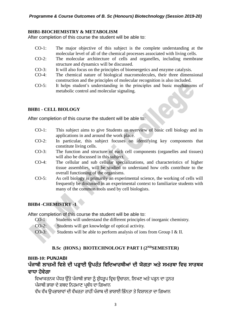#### **BHB1**-**BIOCHEMISTRY & METABOLISM**

After completion of this course the student will be able to:

- CO-1: The major objective of this subject is the complete understanding at the molecular level of all of the chemical processes associated with living cells.
- CO-2: The molecular architecture of cells and organelles, including membrane structure and dynamics will be discussed.
- CO-3: It will also focus on the principles of bioenergetics and enzyme catalysis.
- CO-4: The chemical nature of biological macromolecules, their three dimensional construction and the principles of molecular recognition is also included.
- CO-5: It helps student's understanding in the principles and basic mechanisms of metabolic control and molecular signaling.

#### **BHB1 - CELL BIOLOGY**

After completion of this course the student will be able to:

- CO-1: This subject aims to give Students an overview of basic cell biology and its applications in and around the work place.
- CO-2: In particular, this subject focuses on identifying key components that constitute living cells.
- CO-3: The function and structure of each cell components (organelles and tissues) will also be discussed in this subject.
- CO-4: The cellular and sub cellular specializations, and characteristics of higher tissue assemblies, will be studied to understand how cells contribute to the overall functioning of the organisms.
- CO-5: As cell biology is primarily an experimental science, the working of cells will frequently be discussed in an experimental context to familiarize students with many of the common tools used by cell biologists.

#### **BHB4 -CHEMISTRY -1**

After completion of this course the student will be able to:

- CO-1: Students will understand the different principles of inorganic chemistry.
- CO-2: Students will get knowledge of optical activity.
- CO-3: Students will be able to perform analysis of ions from Group I & II.

#### **B.Sc (HONS.) BIOTECHNOLOGY PART I (2NDSEMESTER)**

#### **BHB-10: PUNJABI**

### **ਪੰਜਾਬੀ ਲਾਜ਼ਮੀ ਵਿਸ਼ੇਦੀ ਪੜ੍ਹਾਈ ਉਪਰੰਤ ਵਿਵਦਆਰਥੀਆਂ ਦੀ ਯੋਗਤਾ ਅਤੇਸਮਰਥਾ ਵਿਚ ਸਾਰਥਕ ਿਾਧਾ ਹੋਿੇਗਾ**

ਵਿਆਕਰਨਕ ਪੱਧਰ ਉੱਤੇ ਪੰਜਾਬੀ ਭਾਸ਼ਾ ਨੂੰ ਸ਼ੁੱਧਰੁਪ ਵਿਚ ਉਚਾਰਨ, ਲਿਖਣ ਅਤੇ ਪੜ੍ਹਨ ਦਾ ਹਨਰ ਪੰਜਾਬੀ ਭਾਸ਼ਾ ਦੇ ਸ਼ਬਦ ਨਿਰਮਾਣ ਪਬੰਧ ਦਾ ਗਿਆਨ

ਵੱਖ ਵੱਖ ਉਪਭਾਸ਼ਾਵਾਂ ਦੀ ਵੱਖਰਤਾ ਰਾਹੀਂ ਪੰਜਾਬ ਦੀ ਭਾਸ਼ਾਈ ਭਿੰਨਤਾ ਤੇ ਵਿਸ਼ਾਲਤਾ ਦਾ ਗਿਆਨ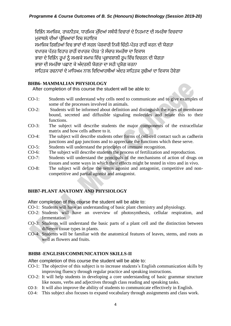ਵਿਭਿੰਨ ਸਮਾਜਿਕ, ਰਾਜਨੀਤਕ, ਧਾਰਮਿਕ ਮੁੱਦਿਆਂ ਸਬੰਧੀ ਵਿਚਾਰਾਂ ਦੇ ਨਿਰਮਾਣ ਦੀ ਸਮਰੱਥਾ ਵਿਚਵਾਧਾ ਮਕਾਬਲੇ ਦੀਆਂ ਪੀਖਿਆਵਾਂ ਵਿਚ ਸਹਾਇਕ ਸਮਾਜਿਕ ਰਿਸ਼ਤਿਆਂ ਵਿਚ ਭਾਵਾਂ ਦੀ ਸਰਲ ਪੇਸ਼ਕਾਰੀ ਨਿਜੀ ਚਿੱਠੀ-ਪੱਤਰ ਰਾਹੀਂ ਕਰਨ ਦੀ ਯੋਗਤਾ ਵਪਾਰਕ ਪੱਤਰ ਵਿਹਾਰ ਰਾਹੀਂ ਵਪਾਰਕ ਪੱਧਰ 'ਤੇ ਸੰਚਾਰ ਸਮਰੱਥਾ ਦਾ ਵਿਕਾਸ ਭਾਸ਼ਾ ਦੇ ਵਿਭਿੰਨ ਰਪਾਂ ਨੰ ਸਮਝਕੇ ਸਮਾਜ ਵਿੱਚ ਪਭਾਵਸ਼ਾਲੀ ਰਪ ਵਿੱਚ ਵਿਚਰਨ ਦੀ ਯੋਗਤਾ ਭਾਸ਼ਾ ਦੀ ਸਮਰੱਥਾ ਪਛਾਣ ਕੇ ਅੰਦਰਲੀ ਯੋਗਤਾ ਦਾ ਸਹੀ ਪਯੋਗ ਕਰਨਾ ਸਾਹਿਤਕ ਰਚਨਾਵਾਂ ਦੇ ਮਾਧਿਅਮ ਨਾਲ ਵਿਦਿਆਰਥੀਆਂ ਅੰਦਰ ਸਾਹਿਤਕ ਰਚੀਆਂ ਦਾ ਵਿਕਾਸ ਹੋਵੇਗਾ

#### **BHB6- MAMMALIAN PHYSIOLOGY**

After completion of this course the student will be able to:

- CO-1: Students will understand why cells need to communicate and to give examples of some of the processes involved in animals.
- CO-2: Students will be informed about definition and distinguish the roles of membrane bound, secreted and diffusible signaling molecules and relate this to their functions.
- CO-3: The subject will describe students the major components of the extracellular matrix and how cells adhere to it.
- CO-4: The subject will describe students other forms of cell-cell contact such as cadherin junctions and gap junctions and to appreciate the functions which these serve.
- CO-5: Students will understand the principles of immune recognition.
- CO-6: The subject will describe students the process of fertilization and reproduction.
- CO-7: Students will understand the principals of the mechanisms of action of drugs on tissues and some ways in which their effects might be tested in vitro and in vivo.
- CO-8: The subject will define the terms agonist and antagonist, competitive and noncompetitive and partial agonist and antagonist.

#### **BHB7-PLANT ANATOMY AND PHYSIOLOGY**

After completion of this course the student will be able to:

- CO-1: Students will have an understanding of basic plant chemistry and physiology.
- CO-2: Students will have an overview of photosynthesis, cellular respiration, and fermentation.
- CO-3: Students will understand the basic parts of a plant cell and the distinction between different tissue types in plants.
- CO-4: Students will be familiar with the anatomical features of leaves, stems, and roots as well as flowers and fruits.

#### **BHB8 -ENGLISH/COMMUNICATION SKILLS-II**

- CO-1: The objective of this subject is to increase students's English communication skills by improving fluency through regular practice and speaking instructions.
- CO-2: It will help students in developing a core understanding of basic grammar structure like nouns, verbs and adjectives through class reading and speaking tasks.
- CO-3: It will also improve the ability of students to communicate effectively in English.
- CO-4: This subject also focuses to expand vocabulary through assignments and class work.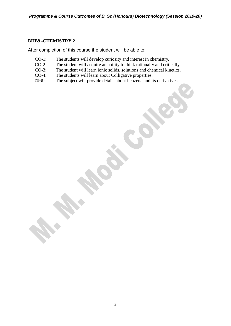#### **BHB9 -CHEMISTRY 2**

- CO-1: The students will develop curiosity and interest in chemistry.
- CO-2: The student will acquire an ability to think rationally and critically.
- CO-3: The student will learn ionic solids, solutions and chemical kinetics.
- CO-4: The students will learn about Colligative properties.
- CO-5: The subject will provide details about benzene and its derivatives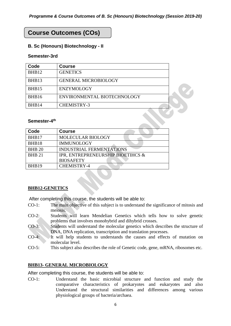# **Course Outcomes (COs)**

#### **B. Sc (Honours) Biotechnology - II**

#### **Semester-3rd**

| Code  | <b>Course</b>               |  |
|-------|-----------------------------|--|
| BHB12 | <b>GENETICS</b>             |  |
| BHB13 | <b>GENERAL MICROBIOLOGY</b> |  |
| BHB15 | <b>ENZYMOLOGY</b>           |  |
| BHB16 | ENVIRONMENTAL BIOTECHNOLOGY |  |
| BHB14 | <b>CHEMISTRY-3</b>          |  |

#### Semester-4<sup>th</sup>

| Code          | <b>Course</b>                     |
|---------------|-----------------------------------|
| BHB17         | MOLECULAR BIOLOGY                 |
| BHB18         | <b>IMMUNOLOGY</b>                 |
| <b>BHB 20</b> | <b>INDUSTRIAL FERMENTATIONS</b>   |
| <b>BHB 21</b> | IPR, ENTREPRENEURSHIP BIOETIHCS & |
|               | <b>BIOSAFETY</b>                  |
| BHB19         | <b>CHEMISTRY-4</b>                |

#### **BHB12-GENETICS**

After completing this course, the students will be able to:

- CO-1: The main objective of this subject is to understand the significance of mitosis and meiosis.
- CO-2: Students will learn Mendelian Genetics which tells how to solve genetic problems that involves monohybrid and dihybrid crosses.
- CO-3: Students will understand the molecular genetics which describes the structure of DNA, DNA replication, transcription and translation processes.
- CO-4: It will help students to understands the causes and effects of mutation on molecular level.
- CO-5: This subject also describes the role of Genetic code, gene, mRNA, ribosomes etc.

#### **BHB13- GENERAL MICROBIOLOGY**

After completing this course, the students will be able to:

CO-1: Understand the basic microbial structure and function and study the comparative characteristics of prokaryotes and eukaryotes and also Understand the structural similarities and differences among various physiological groups of bacteria/archaea.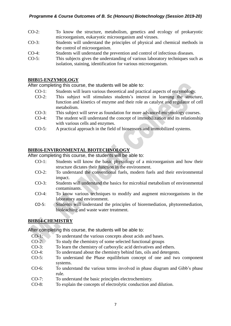- CO-2: To know the structure, metabolism, genetics and ecology of prokaryotic microorganism, eukaryotic microorganism and viruses.
- CO-3: Students will understand the principles of physical and chemical methods in the control of microorganism.
- CO-4: Students will understand the prevention and control of infectious diseases.
- CO-5: This subjects gives the understanding of various laboratory techniques such as isolation, staining, identification for various microorganism.

#### **BHB15-ENZYMOLOGY**

After completing this course, the students will be able to:

- CO-1: Students will learn various theoretical and practical aspects of enzymology.
- CO-2: This subject will stimulates students's interest in learning the structure, function and kinetics of enzyme and their role as catalyst and regulator of cell metabolism.
- CO-3: This subject will serve as foundation for more advanced enzymology courses.
- CO-4: The student will understand the concept of immobilization and its relationship with various cells and enzymes.
- CO-5: A practical approach in the field of biosensors and immobilized systems.

#### **BHB16-ENVIRONMENTAL BIOTECHNOLOGY**

After completing this course, the students will be able to:

- CO-1: Students will know the basic physiology of a microorganism and how their structure dictates their function in the environment.
- CO-2: To understand the conventional fuels, modern fuels and their environmental impact.
- CO-3: Students will understand the basics for microbial metabolism of environmental contaminants.
- CO-4: To know various techniques to modify and augment microorganisms in the laboratory and environment.
- CO-5: Students will understand the principles of bioremediation, phytoremediation, bioleaching and waste water treatment.

#### **BHB14-CHEMISTRY**

- 
- CO-1: To understand the various concepts about acids and bases.<br>CO-2: To study the chemistry of some selected functional groups To study the chemistry of some selected functional groups
- CO-3: To learn the chemistry of carboxylic acid derivatives and ethers.
- CO-4: To understand about the chemistry behind fats, oils and detergents.
- CO-5: To understand the Phase equilibrium concept of one and two component systems.
- CO-6: To understand the various terms involved in phase diagram and Gibb's phase rule.
- CO-7: To understand the basic principles electrochemistry.
- CO-8: To explain the concepts of electrolytic conduction and dilution.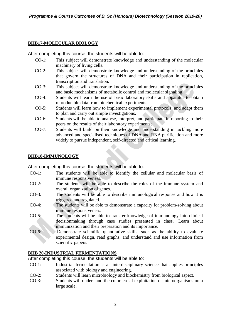#### **BHB17-MOLECULAR BIOLOGY**

After completing this course, the students will be able to:

- CO-1: This subject will demonstrate knowledge and understanding of the molecular machinery of living cells.
- CO-2: This subject will demonstrate knowledge and understanding of the principles that govern the structures of DNA and their participation in replication, transcription and translation.
- CO-3: This subject will demonstrate knowledge and understanding of the principles and basic mechanisms of metabolic control and molecular signaling.
- CO-4: Students will learn the use of basic laboratory skills and apparatus to obtain reproducible data from biochemical experiments.
- CO-5: Students will learn how to implement experimental protocols, and adapt them to plan and carry out simple investigations.
- CO-6: Students will be able to analyse, interpret, and participate in reporting to their peers on the results of their laboratory experiments;
- CO-7: Students will build on their knowledge and understanding in tackling more advanced and specialised techniques of DNA and RNA purification and more widely to pursue independent, self-directed and critical learning.

#### **BHB18-IMMUNOLOGY**

After completing this course, the students will be able to:

- CO-1: The students will be able to identify the cellular and molecular basis of immune responsiveness.
- CO-2: The students will be able to describe the roles of the immune system and overall organization of genes.
- CO-3: The students will be able to describe immunological response and how it is triggered and regulated.
- CO-4: The students will be able to demonstrate a capacity for problem-solving about immune responsiveness.
- CO-5: The students will be able to transfer knowledge of immunology into clinical decisionmaking through case studies presented in class. Learn about immunization and their preparation and its importance.
- CO-6: Demonstrate scientific quantitative skills, such as the ability to evaluate experimental design, read graphs, and understand and use information from scientific papers.

#### **BHB 20-INDUSTRIAL FERMENTATIONS**

- CO-1: Industrial fermentation is an interdisciplinary science that applies principles associated with biology and engineering.
- CO-2: Students will learn microbiology and biochemistry from biological aspect.
- CO-3: Students will understand the commercial exploitation of microorganisms on a large scale.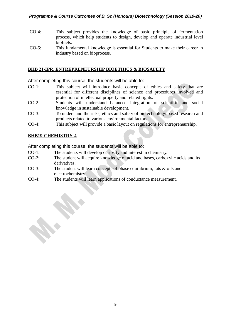#### *Programme & Course Outcomes of B. Sc (Honours) Biotechnology (Session 2019-20)*

- CO-4: This subject provides the knowledge of basic principle of fermentation process, which help students to design, develop and operate industrial level biofuels.
- CO-5: This fundamental knowledge is essential for Students to make their career in industry based on bioprocess.

#### **BHB 21-IPR, ENTREPRENEURSHIP BIOETIHCS & BIOSAFETY**

After completing this course, the students will be able to:

- CO-1: This subject will introduce basic concepts of ethics and safety that are essential for different disciplines of science and procedures involved and protection of intellectual property and related rights.
- CO-2: Students will understand balanced integration of scientific and social knowledge in sustainable development.
- CO-3: To understand the risks, ethics and safety of biotechnology based research and products related to various environmental factors.
- CO-4: This subject will provide a basic layout on regulations for entrepreneurship.

#### **BHB19-CHEMISTRY-4**

- CO-1: The students will develop curiosity and interest in chemistry.
- CO-2: The student will acquire knowledge of acid and bases, carboxylic acids and its derivatives.
- CO-3: The student will learn concepts of phase equilibrium, fats & oils and electrochemistry.
- CO-4: The students will learn applications of conductance measurement.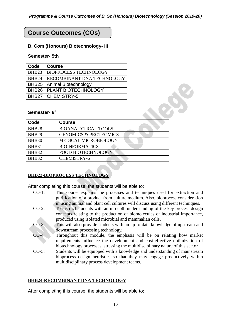# **Course Outcomes (COs)**

#### **B. Com (Honours) Biotechnology- III**

#### **Semester- 5th**

| Code              | <b>Course</b>                |
|-------------------|------------------------------|
| BHB23             | <b>BIOPROCESS TECHNOLOGY</b> |
| BHB <sub>24</sub> | RECOMBINANT DNA TECHNOLOGY   |
| BHB25             | Animal Biotechnology         |
| BHB <sub>26</sub> | PLANT BIOTECHNOLOGY          |
|                   | <b>BHB27   CHEMISTRY-5</b>   |

#### **Semester- 6 th**

| BHB26<br>BHB27            | PLANT BIOTECHNOLOGY<br><b>CHEMISTRY-5</b> |  |
|---------------------------|-------------------------------------------|--|
| Semester- 6 <sup>th</sup> |                                           |  |
| Code                      | <b>Course</b>                             |  |
| <b>BHB28</b>              | <b>BIOANALYTICAL TOOLS</b>                |  |
| BHB <sub>29</sub>         | <b>GENOMICS &amp; PROTEOMICS</b>          |  |
| <b>BHB30</b>              | MEDICAL MICROBIOLOGY                      |  |
| BHB31                     | <b>BIOINFORMATICS</b>                     |  |
| BHB32                     | <b>FOOD BIOTECHNOLOGY</b>                 |  |
| <b>BHB32</b>              | <b>CHEMISTRY-6</b>                        |  |

#### **BHB23-BIOPROCESS TECHNOLOGY**

After completing this course, the students will be able to:

- CO-1: This course explains the processes and techniques used for extraction and purification of a product from culture medium. Also, bioprocess consideration in using animal and plant cell cultures will discuss using different techniques.
- CO-2: To instruct students with an in-depth understanding of the key process design concepts relating to the production of biomolecules of industrial importance, produced using isolated microbial and mammalian cells.
- CO-3: This will also provide students with an up-to-date knowledge of upstream and downstream processing technology.
- CO-4: Throughout this module, the emphasis will be on relating how market requirements influence the development and cost-effective optimization of biotechnology processes, stressing the multidisciplinary nature of this sector.
- CO-5: Students will be equipped with a knowledge and understanding of mainstream bioprocess design heuristics so that they may engage productively within multidisciplinary process development teams.

#### **BHB24-RECOMBINANT DNA TECHNOLOGY**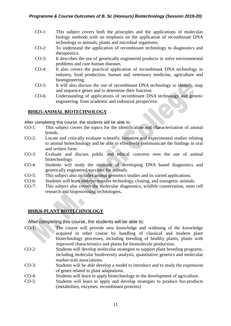- CO-1: This subject covers both the principles and the applications of molecular biology methods with an emphasis on the application of recombinant DNA technology to animals, plants and microbial organisms.
- CO-2: To understand the application of recombinant technology to diagnostics and therapeutics.
- CO-3: It describes the use of genetically engineered products to solve environmental problems and cure human diseases.
- CO-4: It also covers the practical application of recombinant DNA technology in industry, food production, human and veterinary medicine, agriculture and bioengineering.
- CO-5: It will also discuss the use of recombinant DNA technology to identify, map and sequence genes and to determine their function.
- CO-6: Understanding of applications of recombinant DNA technology and genetic engineering. from academic and industrial perspective.

#### **BHB25-ANIMAL BIOTECHNOLOGY**

After completing this course, the students will be able to:

- CO-1: This subject covers the topics for the identification and characterization of animal breeds.
- CO-2: Locate and critically evaluate scientific literature and experimental studies relating to animal biotechnology and be able to effectively communicate the findings in oral and written form.
- CO-3: Evaluate and discuss public and ethical concerns over the use of animal biotechnology.
- CO-4: Students will study the methods of developing DNA based diagnostics and genetically engineered vaccines for animals.
- CO-5: This subject also includes animal genomics studies and its varied applications.
- CO-6: Students will learn embryo-transfer technology, cloning, and transgenic animals.
- CO-7: This subject also covers the molecular diagnostics, wildlife conservation, stem cell research and bioprocessing technologies**.**

#### **BHB26-PLANT BIOTECHNOLOGY**

- CO-1: The course will provide new knowledge and widening of the knowledge acquired in other course by handling of classical and modern plant biotechnology processes, including breeding of healthy plants, plants with improved characteristics and plants for biomolecule production.
- CO-2: Students will develop molecular strategies to support plant breeding programs, including molecular biodiversity analysis, quantitative genetics and molecular marker-trait associations.
- CO-3: Students will be able develop a model to introduce and to study the expression of genes related to plant adaptations.
- CO-4: Students will learn to apply biotechnology to the development of agriculture.
- CO-5: Students will learn to apply and develop strategies to produce bio-products (metabolites, enzymes, recombinant proteins)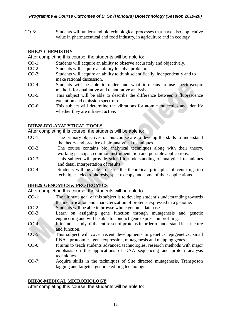CO-6: Students will understand biotechnological processes that have also applicative value in pharmaceutical and food industry, in agriculture and in ecology.

#### **BHB27-CHEMISTRY**

After completing this course, the students will be able to:

- CO-1: Students will acquire an ability to observe accurately and objectively.
- CO-2: Students will acquire an ability to solve problem.
- CO-3: Students will acquire an ability to think scientifically, independently and to make rational discussion.
- CO-4: Students will be able to understand what it means to use spectroscopic methods for qualitative and quantitative analysis.
- CO-5: This subject will be able to describe the difference between a fluorescence excitation and emission spectrum.
- CO-6: This subject will determine the vibrations for atomic molecules and identify whether they are infrared active.

#### **BHB28-BIO-ANALYTICAL TOOLS**

After completing this course, the students will be able to:

- CO-1: The primary objectives of this course are to develop the skills to understand the theory and practice of bio-analytical techniques.
- CO-2: The course contains bio analytical techniques along with their theory, working principal, common instrumentation and possible applications.
- CO-3: This subject will provide scientific understanding of analytical techniques and detail interpretation of results.
- CO-4: Students will be able to learn the theoretical principles of centrifugation techniques, electrophoresis, spectroscopy and some of their applications

#### **BHB29-GENOMICS & PROTEOMICS**

After completing this course, the students will be able to:

- CO-1: The ultimate goal of this subject is to develop student's understanding towards the identification and characterization of proteins expressed in a genome.
- CO-2: Students will be able to browse whole genome databases.
- CO-3: Learn on assigning gene function through mutagenesis and genetic engineering and will be able to conduct gene expression profiling.
- CO-4: It includes study of the entire set of proteins in order to understand its structure and function.
- CO-5: This subject will cover recent developments in genetics, epigenetics, small RNAs, proteomics, gene expression, mutagenesis and mapping genes.
- CO-6: It aims to teach students advanced technologies, research methods with major emphasis on the applications of DNA sequencing and protein analysis techniques**.**
- CO-7: Acquire skills in the techniques of Site directed mutagenesis, Transposon tagging and targeted genome editing technologies.

#### **BHB30-MEDICAL MICROBIOLOGY**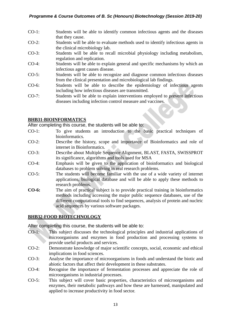- CO-1: Students will be able to identify common infectious agents and the diseases that they cause.
- CO-2: Students will be able to evaluate methods used to identify infectious agents in the clinical microbiology lab.
- CO-3: Students will be able to recall microbial physiology including metabolism, regulation and replication.
- CO-4: Students will be able to explain general and specific mechanisms by which an infectious agent causes disease.
- CO-5: Students will be able to recognize and diagnose common infectious diseases from the clinical presentation and microbiological lab findings.
- CO-6: Students will be able to describe the epidemiology of infectious agents including how infectious diseases are transmitted.
- CO-7: Students will be able to explain interventions employed to prevent infectious diseases including infection control measure and vaccines.

#### **BHB31-BIOINFORMATICS**

After completing this course, the students will be able to:

- CO-1: To give students an introduction to the basic practical techniques of bioinformatics.
- CO-2: Describe the history, scope and importance of Bioinformatics and role of internet in Bioinformatics.
- CO-3: Describe about Multiple Sequence Alignment, BLAST, FASTA, SWISSPROT its significance, algorithms and tools used for MSA
- CO-4: Emphasis will be given to the application of bioinformatics and biological databases to problem solving in real research problems.
- CO-5: The students will become familiar with the use of a wide variety of internet applications, biological database and will be able to apply these methods to research problems.
- **CO-6:** The aim of practical subject is to provide practical training in bioinformatics methods including accessing the major public sequence databases, use of the different computational tools to find sequences, analysis of protein and nucleic acid sequences by various software packages.

#### **BHB32-FOOD BIOTECHNOLOGY**

- CO-1: This subject discusses the technological principles and industrial applications of microorganisms and enzymes in food production and processing systems to provide useful products and services.
- CO-2: Demonstrate knowledge of major scientific concepts, social, economic and ethical implications in food sciences.
- CO-3: Analyse the importance of microorganisms in foods and understand the biotic and abiotic factors that affect their development in these substrates.
- CO-4: Recognise the importance of fermentation processes and appreciate the role of microorganisms in industrial processes.
- CO-5: This subject will cover basic properties, characteristics of microorganisms and enzymes, their metabolic pathways and how these are harnessed, manipulated and applied to increase productivity in food sector.